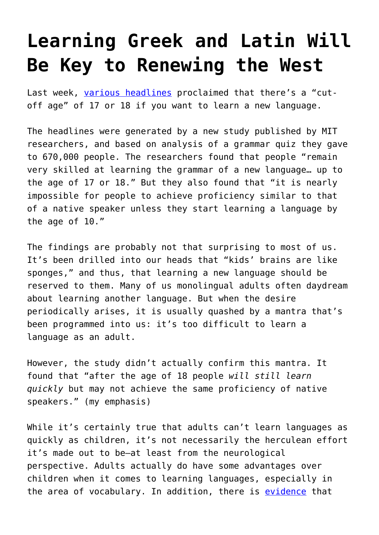## **[Learning Greek and Latin Will](https://intellectualtakeout.org/2018/05/learning-greek-and-latin-will-be-key-to-renewing-the-west/) [Be Key to Renewing the West](https://intellectualtakeout.org/2018/05/learning-greek-and-latin-will-be-key-to-renewing-the-west/)**

Last week, [various headlines](https://www.independent.co.uk/life-style/learn-language-scientists-second-education-best-age-a8330911.html?utm_campaign=Echobox&utm_medium=Social&utm_source=Facebook#link_time=1525182810) proclaimed that there's a "cutoff age" of 17 or 18 if you want to learn a new language.

The headlines were generated by a new study published by MIT researchers, and based on analysis of a grammar quiz they gave to 670,000 people. The researchers found that people "remain very skilled at learning the grammar of a new language… up to the age of 17 or 18." But they also found that "it is nearly impossible for people to achieve proficiency similar to that of a native speaker unless they start learning a language by the age of 10."

The findings are probably not that surprising to most of us. It's been drilled into our heads that "kids' brains are like sponges," and thus, that learning a new language should be reserved to them. Many of us monolingual adults often daydream about learning another language. But when the desire periodically arises, it is usually quashed by a mantra that's been programmed into us: it's too difficult to learn a language as an adult.

However, the study didn't actually confirm this mantra. It found that "after the age of 18 people *will still learn quickly* but may not achieve the same proficiency of native speakers." (my emphasis)

While it's certainly true that adults can't learn languages as quickly as children, it's not necessarily the herculean effort it's made out to be—at least from the neurological perspective. Adults actually do have some advantages over children when it comes to learning languages, especially in the area of vocabulary. In addition, there is [evidence](https://www.theguardian.com/education/2014/sep/13/am-i-too-old-to-learn-a-language) that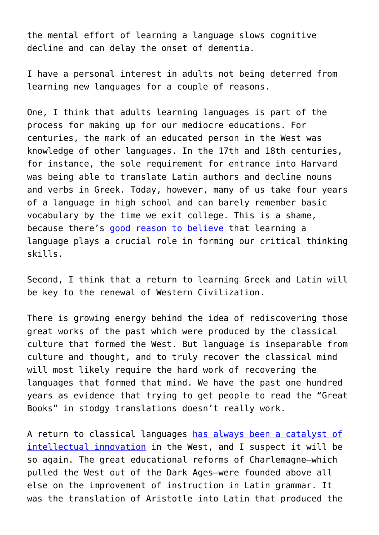the mental effort of learning a language slows cognitive decline and can delay the onset of dementia.

I have a personal interest in adults not being deterred from learning new languages for a couple of reasons.

One, I think that adults learning languages is part of the process for making up for our mediocre educations. For centuries, the mark of an educated person in the West was knowledge of other languages. In the 17th and 18th centuries, for instance, the sole requirement for entrance into Harvard was being able to translate Latin authors and decline nouns and verbs in Greek. Today, however, many of us take four years of a language in high school and can barely remember basic vocabulary by the time we exit college. This is a shame, because there's [g](https://www.intellectualtakeout.org/blog/why-people-should-still-study-latin)[ood reason to believe](https://www.intellectualtakeout.org/blog/what-us-students-miss-not-learning-latin) that learning a language plays a crucial role in forming our critical thinking skills.

Second, I think that a return to learning Greek and Latin will be key to the renewal of Western Civilization.

There is growing energy behind the idea of rediscovering those great works of the past which were produced by the classical culture that formed the West. But language is inseparable from culture and thought, and to truly recover the classical mind will most likely require the hard work of recovering the languages that formed that mind. We have the past one hundred years as evidence that trying to get people to read the "Great Books" in stodgy translations doesn't really work.

A return to classical languages [has always been a catalyst of](https://www.intellectualtakeout.org/blog/real-progressives-study-classics) [intellectual innovation](https://www.intellectualtakeout.org/blog/real-progressives-study-classics) in the West, and I suspect it will be so again. The great educational reforms of Charlemagne—which pulled the West out of the Dark Ages—were founded above all else on the improvement of instruction in Latin grammar. It was the translation of Aristotle into Latin that produced the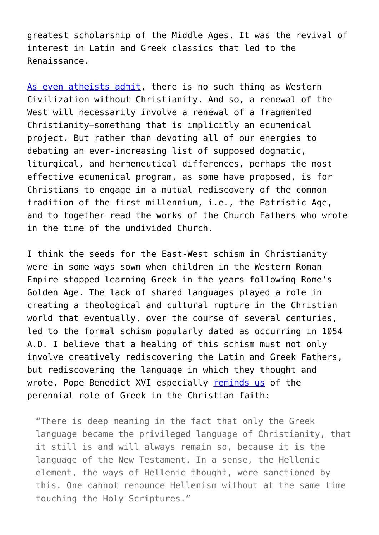greatest scholarship of the Middle Ages. It was the revival of interest in Latin and Greek classics that led to the Renaissance.

[As even atheists admit](https://www.intellectualtakeout.org/blog/theres-no-western-civilization-without-christianity), there is no such thing as Western Civilization without Christianity. And so, a renewal of the West will necessarily involve a renewal of a fragmented Christianity—something that is implicitly an ecumenical project. But rather than devoting all of our energies to debating an ever-increasing list of supposed dogmatic, liturgical, and hermeneutical differences, perhaps the most effective ecumenical program, as some have proposed, is for Christians to engage in a mutual rediscovery of the common tradition of the first millennium, i.e., the Patristic Age, and to together read the works of the Church Fathers who wrote in the time of the undivided Church.

I think the seeds for the East-West schism in Christianity were in some ways sown when children in the Western Roman Empire stopped learning Greek in the years following Rome's Golden Age. The lack of shared languages played a role in creating a theological and cultural rupture in the Christian world that eventually, over the course of several centuries, led to the formal schism popularly dated as occurring in 1054 A.D. I believe that a healing of this schism must not only involve creatively rediscovering the Latin and Greek Fathers, but rediscovering the language in which they thought and wrote. Pope Benedict XVI especially [reminds us](http://w2.vatican.va/content/benedict-xvi/en/speeches/2006/september/documents/hf_ben-xvi_spe_20060912_university-regensburg.html) of the perennial role of Greek in the Christian faith:

"There is deep meaning in the fact that only the Greek language became the privileged language of Christianity, that it still is and will always remain so, because it is the language of the New Testament. In a sense, the Hellenic element, the ways of Hellenic thought, were sanctioned by this. One cannot renounce Hellenism without at the same time touching the Holy Scriptures."